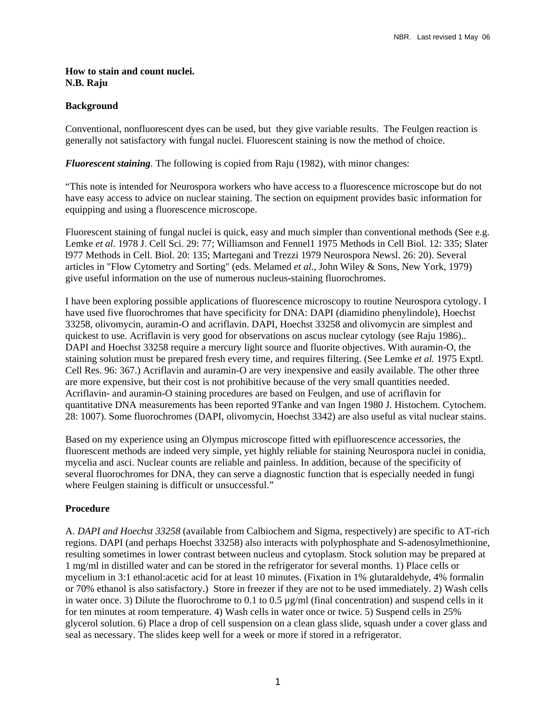#### **How to stain and count nuclei. N.B. Raju**

## **Background**

Conventional, nonfluorescent dyes can be used, but they give variable results. The Feulgen reaction is generally not satisfactory with fungal nuclei. Fluorescent staining is now the method of choice.

*Fluorescent staining.* The following is copied from Raju (1982), with minor changes:

"This note is intended for Neurospora workers who have access to a fluorescence microscope but do not have easy access to advice on nuclear staining. The section on equipment provides basic information for equipping and using a fluorescence microscope.

Fluorescent staining of fungal nuclei is quick, easy and much simpler than conventional methods (See e.g. Lemke *et al.* 1978 J. Cell Sci. 29: 77; Williamson and Fennel1 1975 Methods in Cell Biol. 12: 335; Slater l977 Methods in Cell. Biol. 20: 135; Martegani and Trezzi 1979 Neurospora Newsl. 26: 20). Several articles in "Flow Cytometry and Sorting" (eds. Melamed *et al*., John Wiley & Sons, New York, 1979) give useful information on the use of numerous nucleus-staining fluorochromes.

I have been exploring possible applications of fluorescence microscopy to routine Neurospora cytology. I have used five fluorochromes that have specificity for DNA: DAPI (diamidino phenylindole), Hoechst 33258, olivomycin, auramin-O and acriflavin. DAPI, Hoechst 33258 and olivomycin are simplest and quickest to use. Acriflavin is very good for observations on ascus nuclear cytology (see Raju 1986).. DAPI and Hoechst 33258 require a mercury light source and fluorite objectives. With auramin-O, the staining solution must be prepared fresh every time, and requires filtering. (See Lemke *et al.* 1975 Exptl. Cell Res. 96: 367.) Acriflavin and auramin-O are very inexpensive and easily available. The other three are more expensive, but their cost is not prohibitive because of the very small quantities needed. Acriflavin- and auramin-O staining procedures are based on Feulgen, and use of acriflavin for quantitative DNA measurements has been reported 9Tanke and van Ingen 1980 J. Histochem. Cytochem. 28: 1007). Some fluorochromes (DAPI, olivomycin, Hoechst 3342) are also useful as vital nuclear stains.

Based on my experience using an Olympus microscope fitted with epifluorescence accessories, the fluorescent methods are indeed very simple, yet highly reliable for staining Neurospora nuclei in conidia, mycelia and asci. Nuclear counts are reliable and painless. In addition, because of the specificity of several fluorochromes for DNA, they can serve a diagnostic function that is especially needed in fungi where Feulgen staining is difficult or unsuccessful."

# **Procedure**

A. *DAPI and Hoechst 33258* (available from Calbiochem and Sigma, respectively) are specific to AT-rich regions. DAPI (and perhaps Hoechst 33258) also interacts with polyphosphate and S-adenosylmethionine, resulting sometimes in lower contrast between nucleus and cytoplasm. Stock solution may be prepared at 1 mg/ml in distilled water and can be stored in the refrigerator for several months. 1) Place cells or mycelium in 3:1 ethanol:acetic acid for at least 10 minutes. (Fixation in 1% glutaraldehyde, 4% formalin or 70% ethanol is also satisfactory.) Store in freezer if they are not to be used immediately. 2) Wash cells in water once. 3) Dilute the fluorochrome to 0.1 to 0.5 µg/ml (final concentration) and suspend cells in it for ten minutes at room temperature. 4) Wash cells in water once or twice. 5) Suspend cells in 25% glycerol solution. 6) Place a drop of cell suspension on a clean glass slide, squash under a cover glass and seal as necessary. The slides keep well for a week or more if stored in a refrigerator.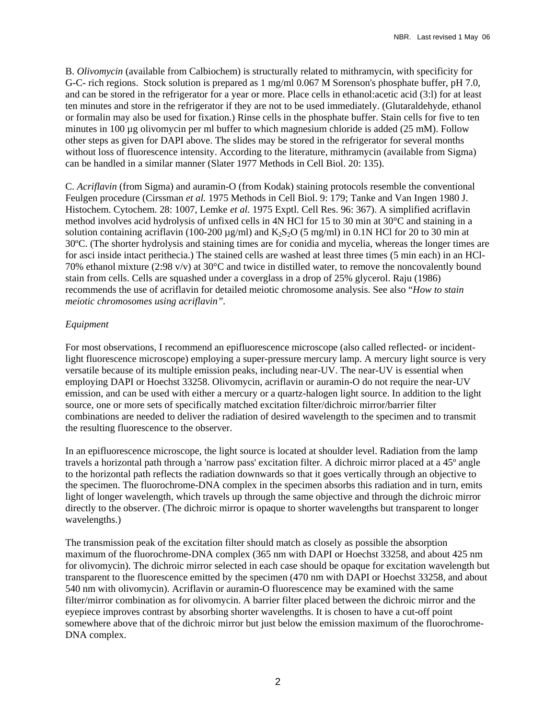B. *Olivomycin* (available from Calbiochem) is structurally related to mithramycin, with specificity for G-C- rich regions. Stock solution is prepared as 1 mg/ml 0.067 M Sorenson's phosphate buffer, pH 7.0, and can be stored in the refrigerator for a year or more. Place cells in ethanol:acetic acid (3:l) for at least ten minutes and store in the refrigerator if they are not to be used immediately. (Glutaraldehyde, ethanol or formalin may also be used for fixation.) Rinse cells in the phosphate buffer. Stain cells for five to ten minutes in 100 µg olivomycin per ml buffer to which magnesium chloride is added (25 mM). Follow other steps as given for DAPI above. The slides may be stored in the refrigerator for several months without loss of fluorescence intensity. According to the literature, mithramycin (available from Sigma) can be handled in a similar manner (Slater 1977 Methods in Cell Biol. 20: 135).

C. *Acriflavin* (from Sigma) and auramin-O (from Kodak) staining protocols resemble the conventional Feulgen procedure (Cirssman *et al.* 1975 Methods in Cell Biol. 9: 179; Tanke and Van Ingen 1980 J. Histochem. Cytochem. 28: 1007, Lemke *et al.* 1975 Exptl. Cell Res. 96: 367). A simplified acriflavin method involves acid hydrolysis of unfixed cells in 4N HCl for 15 to 30 min at 30°C and staining in a solution containing acriflavin (100-200  $\mu$ g/ml) and K<sub>2</sub>S<sub>2</sub>O (5 mg/ml) in 0.1N HCl for 20 to 30 min at 30ºC. (The shorter hydrolysis and staining times are for conidia and mycelia, whereas the longer times are for asci inside intact perithecia.) The stained cells are washed at least three times (5 min each) in an HCl-70% ethanol mixture (2:98 v/v) at 30°C and twice in distilled water, to remove the noncovalently bound stain from cells. Cells are squashed under a coverglass in a drop of 25% glycerol. Raju (1986) recommends the use of acriflavin for detailed meiotic chromosome analysis. See also "*How to stain meiotic chromosomes using acriflavin".*

### *Equipment*

For most observations, I recommend an epifluorescence microscope (also called reflected- or incidentlight fluorescence microscope) employing a super-pressure mercury lamp. A mercury light source is very versatile because of its multiple emission peaks, including near-UV. The near-UV is essential when employing DAPI or Hoechst 33258. Olivomycin, acriflavin or auramin-O do not require the near-UV emission, and can be used with either a mercury or a quartz-halogen light source. In addition to the light source, one or more sets of specifically matched excitation filter/dichroic mirror/barrier filter combinations are needed to deliver the radiation of desired wavelength to the specimen and to transmit the resulting fluorescence to the observer.

In an epifluorescence microscope, the light source is located at shoulder level. Radiation from the lamp travels a horizontal path through a 'narrow pass' excitation filter. A dichroic mirror placed at a 45º angle to the horizontal path reflects the radiation downwards so that it goes vertically through an objective to the specimen. The fluorochrome-DNA complex in the specimen absorbs this radiation and in turn, emits light of longer wavelength, which travels up through the same objective and through the dichroic mirror directly to the observer. (The dichroic mirror is opaque to shorter wavelengths but transparent to longer wavelengths.)

The transmission peak of the excitation filter should match as closely as possible the absorption maximum of the fluorochrome-DNA complex (365 nm with DAPI or Hoechst 33258, and about 425 nm for olivomycin). The dichroic mirror selected in each case should be opaque for excitation wavelength but transparent to the fluorescence emitted by the specimen (470 nm with DAPI or Hoechst 33258, and about 540 nm with olivomycin). Acriflavin or auramin-O fluorescence may be examined with the same filter/mirror combination as for olivomycin. A barrier filter placed between the dichroic mirror and the eyepiece improves contrast by absorbing shorter wavelengths. It is chosen to have a cut-off point somewhere above that of the dichroic mirror but just below the emission maximum of the fluorochrome-DNA complex.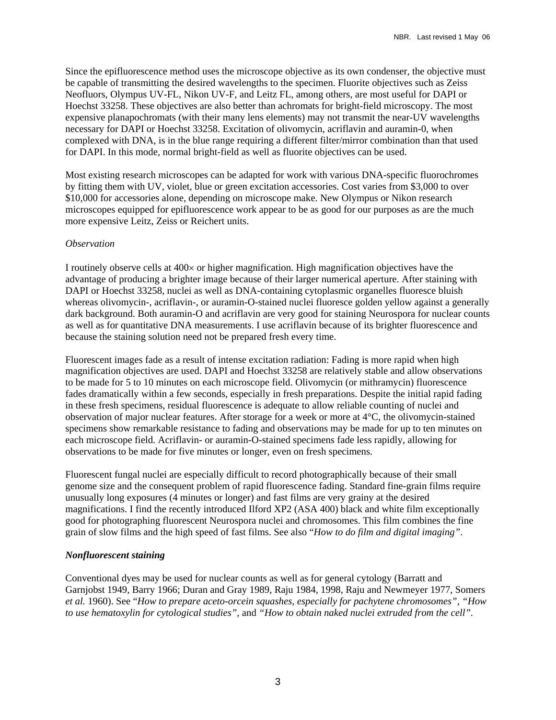Since the epifluorescence method uses the microscope objective as its own condenser, the objective must be capable of transmitting the desired wavelengths to the specimen. Fluorite objectives such as Zeiss Neofluors, Olympus UV-FL, Nikon UV-F, and Leitz FL, among others, are most useful for DAPI or Hoechst 33258. These objectives are also better than achromats for bright-field microscopy. The most expensive planapochromats (with their many lens elements) may not transmit the near-UV wavelengths necessary for DAPI or Hoechst 33258. Excitation of olivomycin, acriflavin and auramin-0, when complexed with DNA, is in the blue range requiring a different filter/mirror combination than that used for DAPI. In this mode, normal bright-field as well as fluorite objectives can be used.

Most existing research microscopes can be adapted for work with various DNA-specific fluorochromes by fitting them with UV, violet, blue or green excitation accessories. Cost varies from \$3,000 to over \$10,000 for accessories alone, depending on microscope make. New Olympus or Nikon research microscopes equipped for epifluorescence work appear to be as good for our purposes as are the much more expensive Leitz, Zeiss or Reichert units.

#### *Observation*

I routinely observe cells at 400× or higher magnification. High magnification objectives have the advantage of producing a brighter image because of their larger numerical aperture. After staining with DAPI or Hoechst 33258, nuclei as well as DNA-containing cytoplasmic organelles fluoresce bluish whereas olivomycin-, acriflavin-, or auramin-O-stained nuclei fluoresce golden yellow against a generally dark background. Both auramin-O and acriflavin are very good for staining Neurospora for nuclear counts as well as for quantitative DNA measurements. I use acriflavin because of its brighter fluorescence and because the staining solution need not be prepared fresh every time.

Fluorescent images fade as a result of intense excitation radiation: Fading is more rapid when high magnification objectives are used. DAPI and Hoechst 33258 are relatively stable and allow observations to be made for 5 to 10 minutes on each microscope field. Olivomycin (or mithramycin) fluorescence fades dramatically within a few seconds, especially in fresh preparations. Despite the initial rapid fading in these fresh specimens, residual fluorescence is adequate to allow reliable counting of nuclei and observation of major nuclear features. After storage for a week or more at 4°C, the olivomycin-stained specimens show remarkable resistance to fading and observations may be made for up to ten minutes on each microscope field. Acriflavin- or auramin-O-stained specimens fade less rapidly, allowing for observations to be made for five minutes or longer, even on fresh specimens.

Fluorescent fungal nuclei are especially difficult to record photographically because of their small genome size and the consequent problem of rapid fluorescence fading. Standard fine-grain films require unusually long exposures (4 minutes or longer) and fast films are very grainy at the desired magnifications. I find the recently introduced Ilford XP2 (ASA 400) black and white film exceptionally good for photographing fluorescent Neurospora nuclei and chromosomes. This film combines the fine grain of slow films and the high speed of fast films. See also "*How to do film and digital imaging"*.

### *Nonfluorescent staining*

Conventional dyes may be used for nuclear counts as well as for general cytology (Barratt and Garnjobst 1949, Barry 1966; Duran and Gray 1989, Raju 1984, 1998, Raju and Newmeyer 1977, Somers *et al.* 1960). See "*How to prepare aceto-orcein squashes, especially for pachytene chromosomes", "How to use hematoxylin for cytological studies",* and *"How to obtain naked nuclei extruded from the cell".*